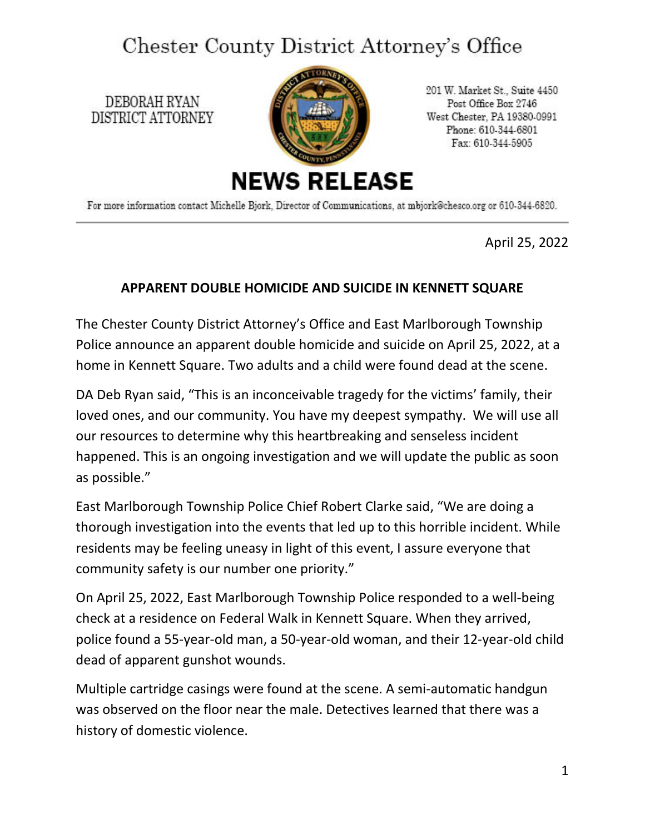## Chester County District Attorney's Office

DEBORAH RYAN DISTRICT ATTORNEY



201 W. Market St., Suite 4450 Post Office Box 2746 West Chester, PA 19380-0991 Phone: 610-344-6801 Fax: 610-344-5905

For more information contact Michelle Bjork, Director of Communications, at mbjork@chesco.org or 610-344-6820.

April 25, 2022

## **APPARENT DOUBLE HOMICIDE AND SUICIDE IN KENNETT SQUARE**

The Chester County District Attorney's Office and East Marlborough Township Police announce an apparent double homicide and suicide on April 25, 2022, at a home in Kennett Square. Two adults and a child were found dead at the scene.

DA Deb Ryan said, "This is an inconceivable tragedy for the victims' family, their loved ones, and our community. You have my deepest sympathy. We will use all our resources to determine why this heartbreaking and senseless incident happened. This is an ongoing investigation and we will update the public as soon as possible."

East Marlborough Township Police Chief Robert Clarke said, "We are doing a thorough investigation into the events that led up to this horrible incident. While residents may be feeling uneasy in light of this event, I assure everyone that community safety is our number one priority."

On April 25, 2022, East Marlborough Township Police responded to a well-being check at a residence on Federal Walk in Kennett Square. When they arrived, police found a 55-year-old man, a 50-year-old woman, and their 12-year-old child dead of apparent gunshot wounds.

Multiple cartridge casings were found at the scene. A semi-automatic handgun was observed on the floor near the male. Detectives learned that there was a history of domestic violence.